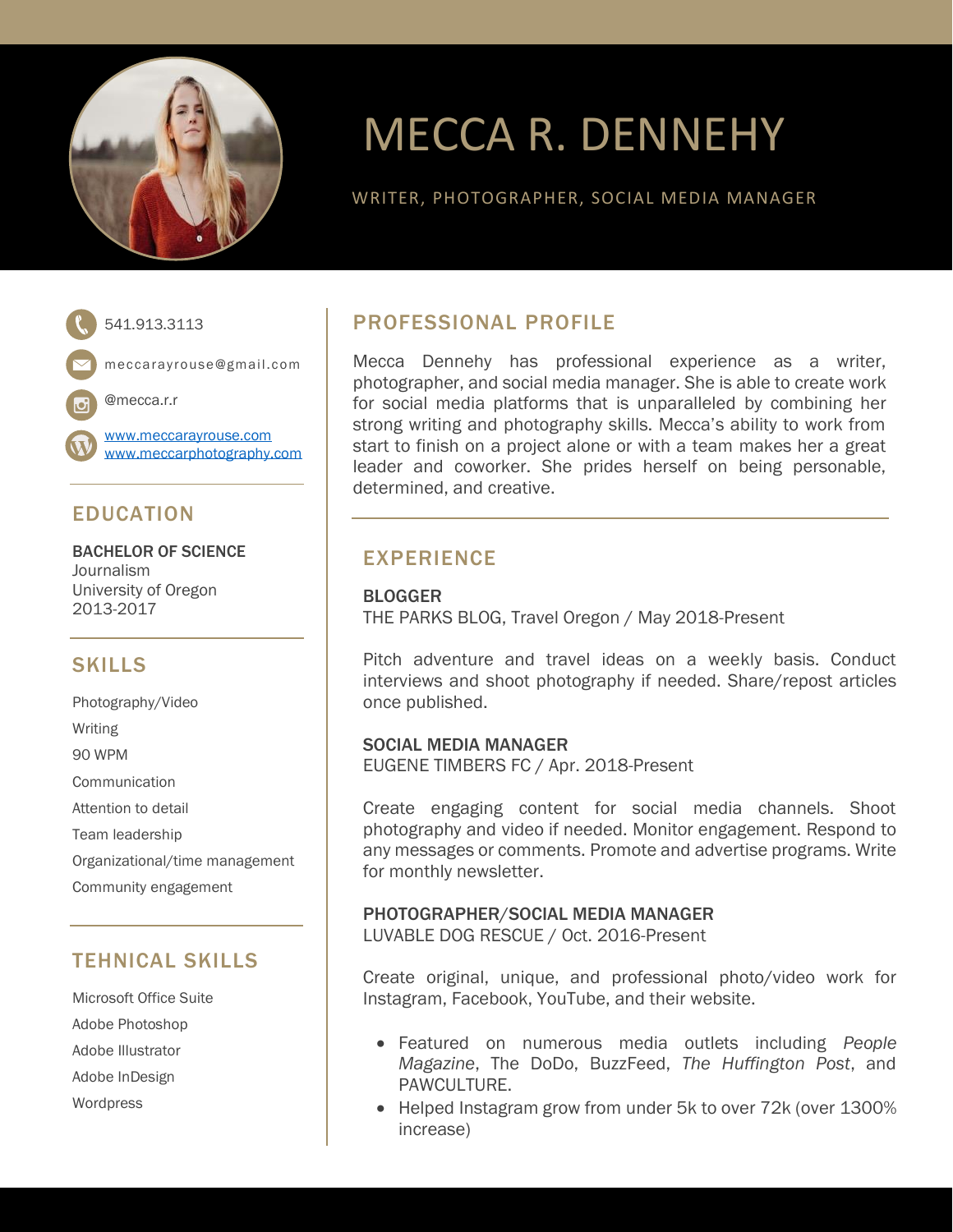

# MECCA R. DENNEHY

WRITER, PHOTOGRAPHER, SOCIAL MEDIA MANAGER



meccarayrouse@gmail.com

@mecca.r.r

[www.meccarayrouse.com](http://www.meccarayrouse.com/) [www.meccarphotography.com](http://www.meccarphotography.com/)

# EDUCATION

BACHELOR OF SCIENCE Journalism University of Oregon 2013-2017

## **SKILLS**

Photography/Video Writing 90 WPM **Communication** Attention to detail Team leadership Organizational/time management Community engagement

## TEHNICAL SKILLS

Microsoft Office Suite Adobe Photoshop Adobe Illustrator Adobe InDesign Wordpress

# PROFESSIONAL PROFILE

Mecca Dennehy has professional experience as a writer, photographer, and social media manager. She is able to create work for social media platforms that is unparalleled by combining her strong writing and photography skills. Mecca's ability to work from start to finish on a project alone or with a team makes her a great leader and coworker. She prides herself on being personable, determined, and creative.

### EXPERIENCE

BLOGGER THE PARKS BLOG, Travel Oregon / May 2018-Present

Pitch adventure and travel ideas on a weekly basis. Conduct interviews and shoot photography if needed. Share/repost articles once published.

### SOCIAL MEDIA MANAGER

EUGENE TIMBERS FC / Apr. 2018-Present

Create engaging content for social media channels. Shoot photography and video if needed. Monitor engagement. Respond to any messages or comments. Promote and advertise programs. Write for monthly newsletter.

### PHOTOGRAPHER/SOCIAL MEDIA MANAGER

LUVABLE DOG RESCUE / Oct. 2016-Present

Create original, unique, and professional photo/video work for Instagram, Facebook, YouTube, and their website.

- Featured on numerous media outlets including *People Magazine*, The DoDo, BuzzFeed, *The Huffington Post*, and PAWCULTURE.
- Helped Instagram grow from under 5k to over 72k (over 1300% increase)